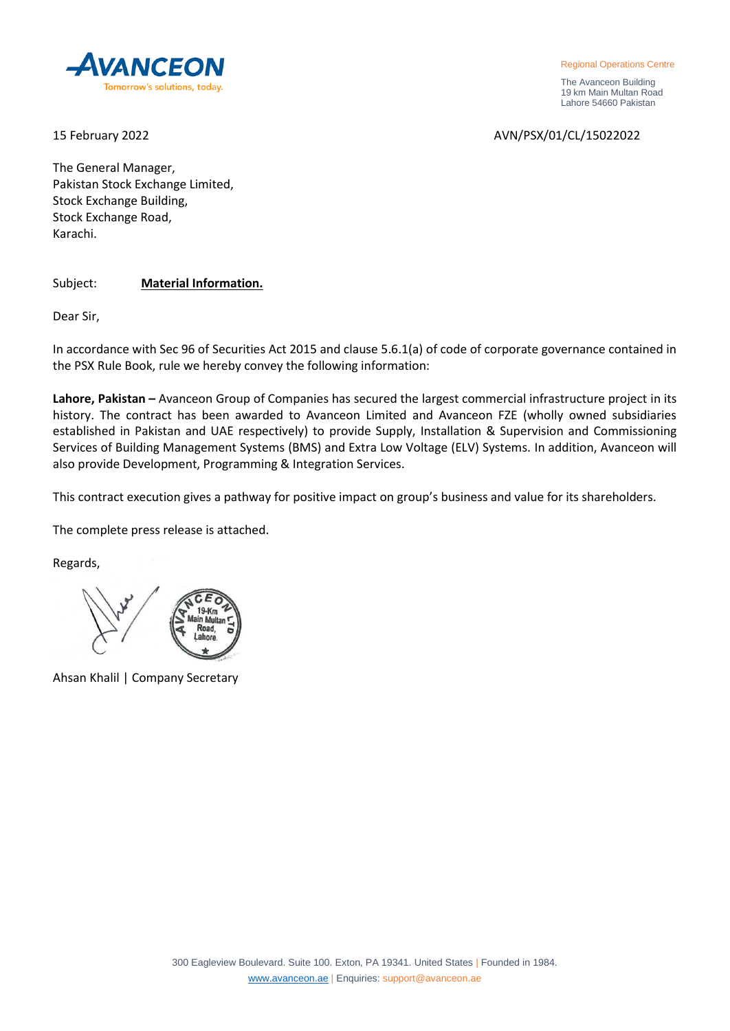

Regional Operations Centre

 The Avanceon Building 19 km Main Multan Road Lahore 54660 Pakistan

15 February 2022 AVN/PSX/01/CL/15022022

The General Manager, Pakistan Stock Exchange Limited, Stock Exchange Building, Stock Exchange Road, Karachi.

Subject: **Material Information.**

Dear Sir,

In accordance with Sec 96 of Securities Act 2015 and clause 5.6.1(a) of code of corporate governance contained in the PSX Rule Book, rule we hereby convey the following information:

**Lahore, Pakistan –** Avanceon Group of Companies has secured the largest commercial infrastructure project in its history. The contract has been awarded to Avanceon Limited and Avanceon FZE (wholly owned subsidiaries established in Pakistan and UAE respectively) to provide Supply, Installation & Supervision and Commissioning Services of Building Management Systems (BMS) and Extra Low Voltage (ELV) Systems. In addition, Avanceon will also provide Development, Programming & Integration Services.

This contract execution gives a pathway for positive impact on group's business and value for its shareholders.

The complete press release is attached.

Regards,

Ahsan Khalil | Company Secretary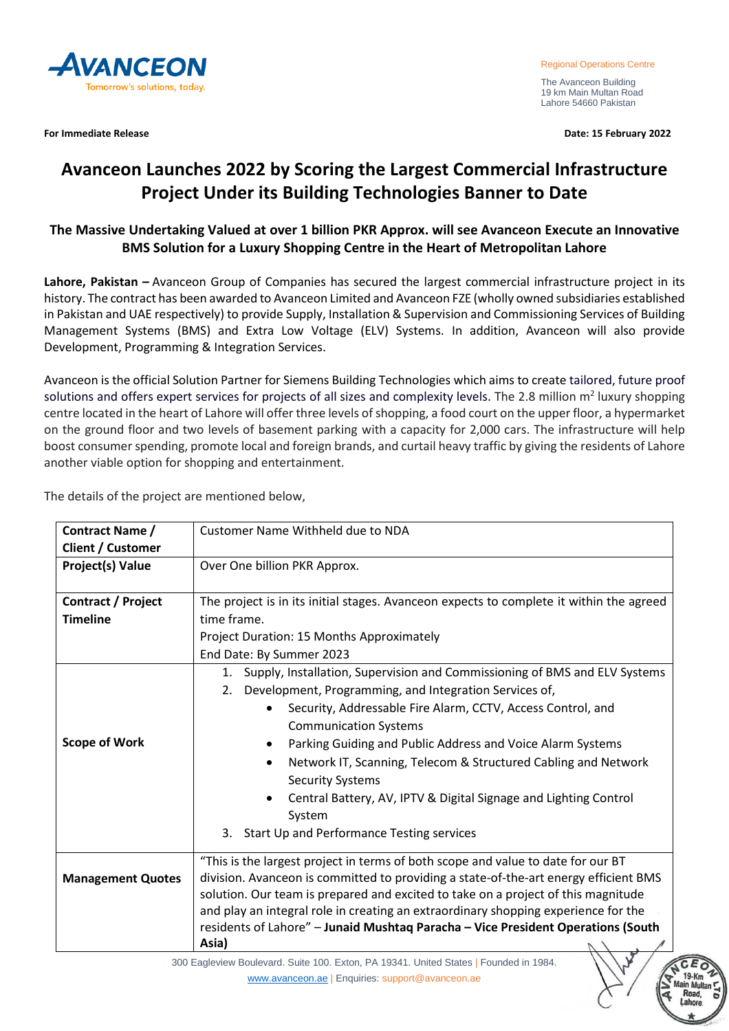

**For Immediate Release Date: 15 February 2022**

The Avanceon Building 19 km Main Multan Road Lahore 54660 Pakistan

## **Avanceon Launches 2022 by Scoring the Largest Commercial Infrastructure Project Under its Building Technologies Banner to Date**

## **The Massive Undertaking Valued at over 1 billion PKR Approx. will see Avanceon Execute an Innovative BMS Solution for a Luxury Shopping Centre in the Heart of Metropolitan Lahore**

**Lahore, Pakistan –** Avanceon Group of Companies has secured the largest commercial infrastructure project in its history. The contract has been awarded to Avanceon Limited and Avanceon FZE (wholly owned subsidiaries established in Pakistan and UAE respectively) to provide Supply, Installation & Supervision and Commissioning Services of Building Management Systems (BMS) and Extra Low Voltage (ELV) Systems. In addition, Avanceon will also provide Development, Programming & Integration Services.

Avanceon is the official Solution Partner for Siemens Building Technologies which aims to create tailored, future proof solutions and offers expert services for projects of all sizes and complexity levels. The 2.8 million m<sup>2</sup> luxury shopping centre located in the heart of Lahore will offer three levels of shopping, a food court on the upper floor, a hypermarket on the ground floor and two levels of basement parking with a capacity for 2,000 cars. The infrastructure will help boost consumer spending, promote local and foreign brands, and curtail heavy traffic by giving the residents of Lahore another viable option for shopping and entertainment.

The details of the project are mentioned below,

| Contract Name /           | Customer Name Withheld due to NDA                                                                                                                                                                                                                                                                                                                                                                                                                                                                                                           |
|---------------------------|---------------------------------------------------------------------------------------------------------------------------------------------------------------------------------------------------------------------------------------------------------------------------------------------------------------------------------------------------------------------------------------------------------------------------------------------------------------------------------------------------------------------------------------------|
| <b>Client / Customer</b>  |                                                                                                                                                                                                                                                                                                                                                                                                                                                                                                                                             |
| Project(s) Value          | Over One billion PKR Approx.                                                                                                                                                                                                                                                                                                                                                                                                                                                                                                                |
|                           |                                                                                                                                                                                                                                                                                                                                                                                                                                                                                                                                             |
| <b>Contract / Project</b> | The project is in its initial stages. Avanceon expects to complete it within the agreed                                                                                                                                                                                                                                                                                                                                                                                                                                                     |
| <b>Timeline</b>           | time frame.                                                                                                                                                                                                                                                                                                                                                                                                                                                                                                                                 |
|                           | Project Duration: 15 Months Approximately                                                                                                                                                                                                                                                                                                                                                                                                                                                                                                   |
|                           | End Date: By Summer 2023                                                                                                                                                                                                                                                                                                                                                                                                                                                                                                                    |
| <b>Scope of Work</b>      | Supply, Installation, Supervision and Commissioning of BMS and ELV Systems<br>1.<br>Development, Programming, and Integration Services of,<br>2.<br>Security, Addressable Fire Alarm, CCTV, Access Control, and<br><b>Communication Systems</b><br>Parking Guiding and Public Address and Voice Alarm Systems<br>Network IT, Scanning, Telecom & Structured Cabling and Network<br><b>Security Systems</b><br>Central Battery, AV, IPTV & Digital Signage and Lighting Control<br>System<br>Start Up and Performance Testing services<br>3. |
| <b>Management Quotes</b>  | "This is the largest project in terms of both scope and value to date for our BT<br>division. Avanceon is committed to providing a state-of-the-art energy efficient BMS<br>solution. Our team is prepared and excited to take on a project of this magnitude<br>and play an integral role in creating an extraordinary shopping experience for the<br>residents of Lahore" - Junaid Mushtaq Paracha - Vice President Operations (South<br>Asia)                                                                                            |